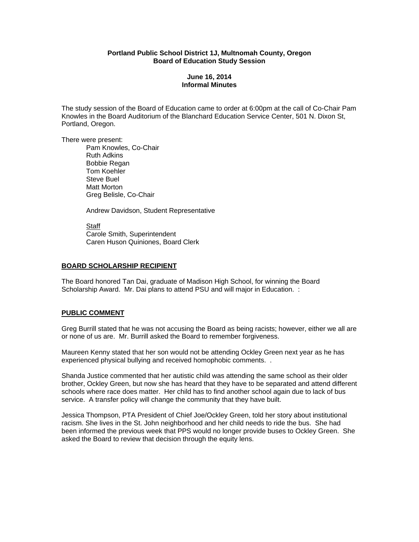## **Portland Public School District 1J, Multnomah County, Oregon Board of Education Study Session**

# **June 16, 2014 Informal Minutes**

The study session of the Board of Education came to order at 6:00pm at the call of Co-Chair Pam Knowles in the Board Auditorium of the Blanchard Education Service Center, 501 N. Dixon St, Portland, Oregon.

There were present:

Pam Knowles, Co-Chair Ruth Adkins Bobbie Regan Tom Koehler Steve Buel Matt Morton Greg Belisle, Co-Chair

Andrew Davidson, Student Representative

 Staff Carole Smith, Superintendent Caren Huson Quiniones, Board Clerk

### **BOARD SCHOLARSHIP RECIPIENT**

The Board honored Tan Dai, graduate of Madison High School, for winning the Board Scholarship Award. Mr. Dai plans to attend PSU and will major in Education. :

### **PUBLIC COMMENT**

Greg Burrill stated that he was not accusing the Board as being racists; however, either we all are or none of us are. Mr. Burrill asked the Board to remember forgiveness.

Maureen Kenny stated that her son would not be attending Ockley Green next year as he has experienced physical bullying and received homophobic comments. .

Shanda Justice commented that her autistic child was attending the same school as their older brother, Ockley Green, but now she has heard that they have to be separated and attend different schools where race does matter. Her child has to find another school again due to lack of bus service. A transfer policy will change the community that they have built.

Jessica Thompson, PTA President of Chief Joe/Ockley Green, told her story about institutional racism. She lives in the St. John neighborhood and her child needs to ride the bus. She had been informed the previous week that PPS would no longer provide buses to Ockley Green. She asked the Board to review that decision through the equity lens.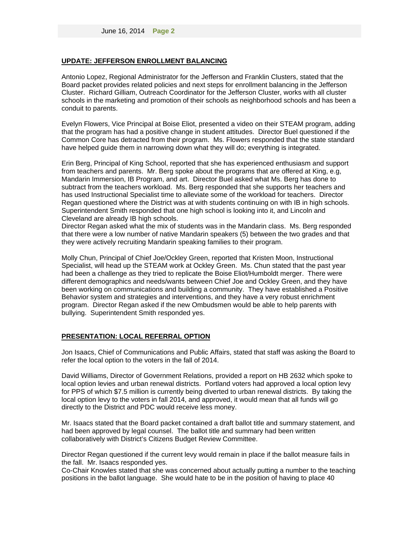#### **UPDATE: JEFFERSON ENROLLMENT BALANCING**

Antonio Lopez, Regional Administrator for the Jefferson and Franklin Clusters, stated that the Board packet provides related policies and next steps for enrollment balancing in the Jefferson Cluster. Richard Gilliam, Outreach Coordinator for the Jefferson Cluster, works with all cluster schools in the marketing and promotion of their schools as neighborhood schools and has been a conduit to parents.

Evelyn Flowers, Vice Principal at Boise Eliot, presented a video on their STEAM program, adding that the program has had a positive change in student attitudes. Director Buel questioned if the Common Core has detracted from their program. Ms. Flowers responded that the state standard have helped guide them in narrowing down what they will do; everything is integrated.

Erin Berg, Principal of King School, reported that she has experienced enthusiasm and support from teachers and parents. Mr. Berg spoke about the programs that are offered at King, e.g, Mandarin Immersion, IB Program, and art. Director Buel asked what Ms. Berg has done to subtract from the teachers workload. Ms. Berg responded that she supports her teachers and has used Instructional Specialist time to alleviate some of the workload for teachers. Director Regan questioned where the District was at with students continuing on with IB in high schools. Superintendent Smith responded that one high school is looking into it, and Lincoln and Cleveland are already IB high schools.

Director Regan asked what the mix of students was in the Mandarin class. Ms. Berg responded that there were a low number of native Mandarin speakers (5) between the two grades and that they were actively recruiting Mandarin speaking families to their program.

Molly Chun, Principal of Chief Joe/Ockley Green, reported that Kristen Moon, Instructional Specialist, will head up the STEAM work at Ockley Green. Ms. Chun stated that the past year had been a challenge as they tried to replicate the Boise Eliot/Humboldt merger. There were different demographics and needs/wants between Chief Joe and Ockley Green, and they have been working on communications and building a community. They have established a Positive Behavior system and strategies and interventions, and they have a very robust enrichment program. Director Regan asked if the new Ombudsmen would be able to help parents with bullying. Superintendent Smith responded yes.

### **PRESENTATION: LOCAL REFERRAL OPTION**

Jon Isaacs, Chief of Communications and Public Affairs, stated that staff was asking the Board to refer the local option to the voters in the fall of 2014.

David Williams, Director of Government Relations, provided a report on HB 2632 which spoke to local option levies and urban renewal districts. Portland voters had approved a local option levy for PPS of which \$7.5 million is currently being diverted to urban renewal districts. By taking the local option levy to the voters in fall 2014, and approved, it would mean that all funds will go directly to the District and PDC would receive less money.

Mr. Isaacs stated that the Board packet contained a draft ballot title and summary statement, and had been approved by legal counsel. The ballot title and summary had been written collaboratively with District's Citizens Budget Review Committee.

Director Regan questioned if the current levy would remain in place if the ballot measure fails in the fall. Mr. Isaacs responded yes.

Co-Chair Knowles stated that she was concerned about actually putting a number to the teaching positions in the ballot language. She would hate to be in the position of having to place 40